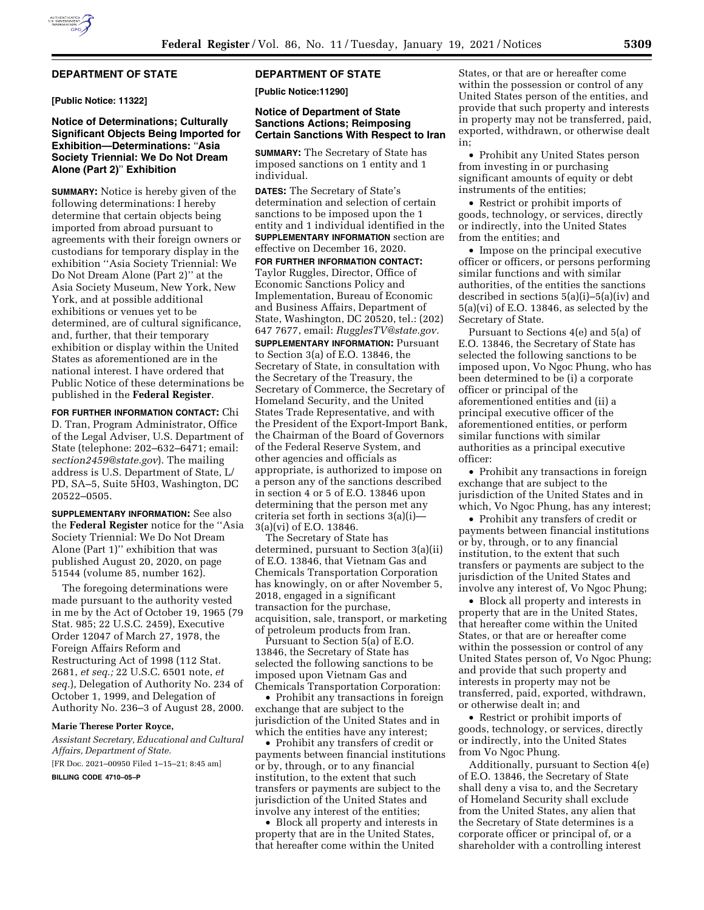

## **DEPARTMENT OF STATE**

**[Public Notice: 11322]** 

## **Notice of Determinations; Culturally Significant Objects Being Imported for Exhibition—Determinations:** ''**Asia Society Triennial: We Do Not Dream Alone (Part 2)**'' **Exhibition**

**SUMMARY:** Notice is hereby given of the following determinations: I hereby determine that certain objects being imported from abroad pursuant to agreements with their foreign owners or custodians for temporary display in the exhibition ''Asia Society Triennial: We Do Not Dream Alone (Part 2)'' at the Asia Society Museum, New York, New York, and at possible additional exhibitions or venues yet to be determined, are of cultural significance, and, further, that their temporary exhibition or display within the United States as aforementioned are in the national interest. I have ordered that Public Notice of these determinations be published in the **Federal Register**.

**FOR FURTHER INFORMATION CONTACT:** Chi D. Tran, Program Administrator, Office of the Legal Adviser, U.S. Department of State (telephone: 202–632–6471; email: *[section2459@state.gov](mailto:section2459@state.gov)*). The mailing address is U.S. Department of State, L/ PD, SA–5, Suite 5H03, Washington, DC 20522–0505.

**SUPPLEMENTARY INFORMATION:** See also the **Federal Register** notice for the ''Asia Society Triennial: We Do Not Dream Alone (Part 1)'' exhibition that was published August 20, 2020, on page 51544 (volume 85, number 162).

The foregoing determinations were made pursuant to the authority vested in me by the Act of October 19, 1965 (79 Stat. 985; 22 U.S.C. 2459), Executive Order 12047 of March 27, 1978, the Foreign Affairs Reform and Restructuring Act of 1998 (112 Stat. 2681, *et seq.;* 22 U.S.C. 6501 note, *et seq.*), Delegation of Authority No. 234 of October 1, 1999, and Delegation of Authority No. 236–3 of August 28, 2000.

#### **Marie Therese Porter Royce,**

*Assistant Secretary, Educational and Cultural Affairs, Department of State.*  [FR Doc. 2021–00950 Filed 1–15–21; 8:45 am]

**BILLING CODE 4710–05–P** 

## **DEPARTMENT OF STATE**

**[Public Notice:11290]** 

## **Notice of Department of State Sanctions Actions; Reimposing Certain Sanctions With Respect to Iran**

**SUMMARY:** The Secretary of State has imposed sanctions on 1 entity and 1 individual.

**DATES:** The Secretary of State's determination and selection of certain sanctions to be imposed upon the 1 entity and 1 individual identified in the **SUPPLEMENTARY INFORMATION** section are effective on December 16, 2020.

**FOR FURTHER INFORMATION CONTACT:**  Taylor Ruggles, Director, Office of Economic Sanctions Policy and Implementation, Bureau of Economic and Business Affairs, Department of State, Washington, DC 20520, tel.: (202) 647 7677, email: *[RugglesTV@state.gov.](mailto:RugglesTV@state.gov)* 

**SUPPLEMENTARY INFORMATION: Pursuant** to Section 3(a) of E.O. 13846, the Secretary of State, in consultation with the Secretary of the Treasury, the Secretary of Commerce, the Secretary of Homeland Security, and the United States Trade Representative, and with the President of the Export-Import Bank, the Chairman of the Board of Governors of the Federal Reserve System, and other agencies and officials as appropriate, is authorized to impose on a person any of the sanctions described in section 4 or 5 of E.O. 13846 upon determining that the person met any criteria set forth in sections 3(a)(i)— 3(a)(vi) of E.O. 13846.

The Secretary of State has determined, pursuant to Section 3(a)(ii) of E.O. 13846, that Vietnam Gas and Chemicals Transportation Corporation has knowingly, on or after November 5, 2018, engaged in a significant transaction for the purchase, acquisition, sale, transport, or marketing of petroleum products from Iran.

Pursuant to Section 5(a) of E.O. 13846, the Secretary of State has selected the following sanctions to be imposed upon Vietnam Gas and Chemicals Transportation Corporation:

• Prohibit any transactions in foreign exchange that are subject to the jurisdiction of the United States and in which the entities have any interest;

• Prohibit any transfers of credit or payments between financial institutions or by, through, or to any financial institution, to the extent that such transfers or payments are subject to the jurisdiction of the United States and involve any interest of the entities;

• Block all property and interests in property that are in the United States, that hereafter come within the United

States, or that are or hereafter come within the possession or control of any United States person of the entities, and provide that such property and interests in property may not be transferred, paid, exported, withdrawn, or otherwise dealt in;

• Prohibit any United States person from investing in or purchasing significant amounts of equity or debt instruments of the entities;

• Restrict or prohibit imports of goods, technology, or services, directly or indirectly, into the United States from the entities; and

• Impose on the principal executive officer or officers, or persons performing similar functions and with similar authorities, of the entities the sanctions described in sections 5(a)(i)–5(a)(iv) and 5(a)(vi) of E.O. 13846, as selected by the Secretary of State.

Pursuant to Sections 4(e) and 5(a) of E.O. 13846, the Secretary of State has selected the following sanctions to be imposed upon, Vo Ngoc Phung, who has been determined to be (i) a corporate officer or principal of the aforementioned entities and (ii) a principal executive officer of the aforementioned entities, or perform similar functions with similar authorities as a principal executive officer:

• Prohibit any transactions in foreign exchange that are subject to the jurisdiction of the United States and in which, Vo Ngoc Phung, has any interest;

• Prohibit any transfers of credit or payments between financial institutions or by, through, or to any financial institution, to the extent that such transfers or payments are subject to the jurisdiction of the United States and involve any interest of, Vo Ngoc Phung;

• Block all property and interests in property that are in the United States, that hereafter come within the United States, or that are or hereafter come within the possession or control of any United States person of, Vo Ngoc Phung; and provide that such property and interests in property may not be transferred, paid, exported, withdrawn, or otherwise dealt in; and

• Restrict or prohibit imports of goods, technology, or services, directly or indirectly, into the United States from Vo Ngoc Phung.

Additionally, pursuant to Section 4(e) of E.O. 13846, the Secretary of State shall deny a visa to, and the Secretary of Homeland Security shall exclude from the United States, any alien that the Secretary of State determines is a corporate officer or principal of, or a shareholder with a controlling interest